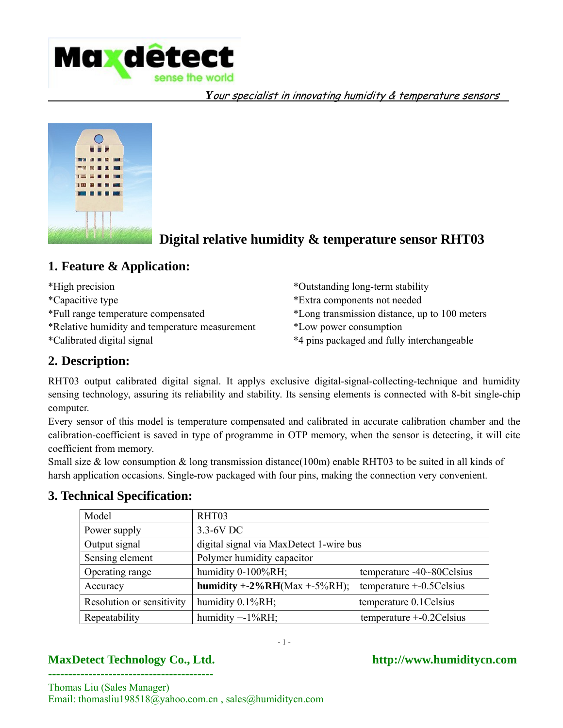



# **Digital relative humidity & temperature sensor RHT03**

## **1. Feature & Application:**

\*High precision

\*Capacitive type

\*Full range temperature compensated

\*Relative humidity and temperature measurement

\*Calibrated digital signal

- \*Outstanding long-term stability \*Extra components not needed
- \*Long transmission distance, up to 100 meters
- \*Low power consumption
- \*4 pins packaged and fully interchangeable

## **2. Description:**

RHT03 output calibrated digital signal. It applys exclusive digital-signal-collecting-technique and humidity sensing technology, assuring its reliability and stability. Its sensing elements is connected with 8-bit single-chip computer.

Every sensor of this model is temperature compensated and calibrated in accurate calibration chamber and the calibration-coefficient is saved in type of programme in OTP memory, when the sensor is detecting, it will cite coefficient from memory.

Small size & low consumption & long transmission distance(100m) enable RHT03 to be suited in all kinds of harsh application occasions. Single-row packaged with four pins, making the connection very convenient.

| Model                     | RHT03                                   |                              |  |  |
|---------------------------|-----------------------------------------|------------------------------|--|--|
| Power supply              | 3.3-6V DC                               |                              |  |  |
| Output signal             | digital signal via MaxDetect 1-wire bus |                              |  |  |
| Sensing element           | Polymer humidity capacitor              |                              |  |  |
| Operating range           | humidity 0-100%RH;                      | temperature -40~80Celsius    |  |  |
| Accuracy                  | humidity $+2\%RH(Max +5\%RH);$          | temperature $+$ -0.5 Celsius |  |  |
| Resolution or sensitivity | humidity 0.1%RH;                        | temperature 0.1 Celsius      |  |  |
| Repeatability             | humidity $+$ -1%RH;                     | temperature $+$ -0.2Celsius  |  |  |

## **3. Technical Specification:**

- 1 -

## **MaxDetect Technology Co., Ltd. http://www.humiditycn.com -----------------------------------------**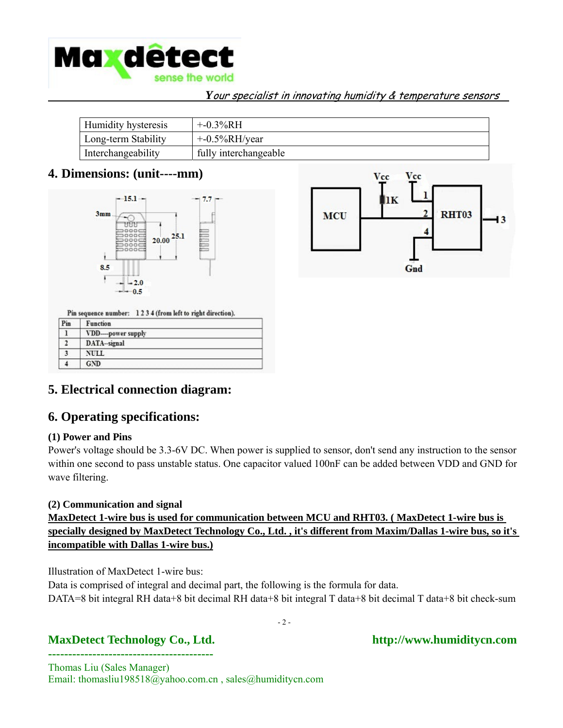

| Humidity hysteresis | $+ -0.3\%RH$          |
|---------------------|-----------------------|
| Long-term Stability | $+$ -0.5%RH/year      |
| Interchangeability  | fully interchangeable |

## **4. Dimensions: (unit----mm)**





Pin sequence number: 1234 (from left to right direction).

| Pin | Function         |  |
|-----|------------------|--|
|     | VDD-power supply |  |
|     | DATA-signal      |  |
|     | <b>NULL</b>      |  |
|     | <b>GND</b>       |  |

## **5. Electrical connection diagram:**

## **6. Operating specifications:**

#### **(1) Power and Pins**

Power's voltage should be 3.3-6V DC. When power is supplied to sensor, don't send any instruction to the sensor within one second to pass unstable status. One capacitor valued 100nF can be added between VDD and GND for wave filtering.

#### **(2) Communication and signal**

## **MaxDetect 1-wire bus is used for communication between MCU and RHT03. ( MaxDetect 1-wire bus is specially designed by MaxDetect Technology Co., Ltd. , it's different from Maxim/Dallas 1-wire bus, so it's incompatible with Dallas 1-wire bus.)**

Illustration of MaxDetect 1-wire bus:

Data is comprised of integral and decimal part, the following is the formula for data. DATA=8 bit integral RH data+8 bit decimal RH data+8 bit integral T data+8 bit decimal T data+8 bit check-sum

- 2 -

## MaxDetect Technology Co., Ltd. http://www.humiditycn.com **-----------------------------------------**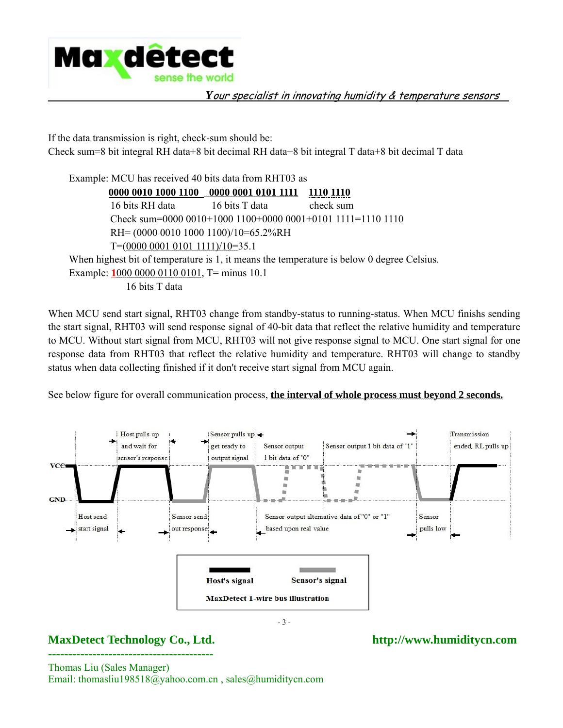

If the data transmission is right, check-sum should be: Check sum=8 bit integral RH data+8 bit decimal RH data+8 bit integral T data+8 bit decimal T data

Example: MCU has received 40 bits data from RHT03 as **0000 0010 1000 1100 0000 0001 0101 1111 1110 1110** 16 bits RH data 16 bits T data check sum Check sum=0000 0010+1000 1100+0000 0001+0101 1111=1110 1110 RH= (0000 0010 1000 1100)/10=65.2%RH T=(0000 0001 0101 1111)/10=35.1 When highest bit of temperature is 1, it means the temperature is below 0 degree Celsius. Example: **1**000 0000 0110 0101, T= minus 10.1 16 bits T data

When MCU send start signal, RHT03 change from standby-status to running-status. When MCU finishs sending the start signal, RHT03 will send response signal of 40-bit data that reflect the relative humidity and temperature to MCU. Without start signal from MCU, RHT03 will not give response signal to MCU. One start signal for one response data from RHT03 that reflect the relative humidity and temperature. RHT03 will change to standby status when data collecting finished if it don't receive start signal from MCU again.

See below figure for overall communication process, **the interval of whole process must beyond 2 seconds.**



## **MaxDetect Technology Co., Ltd. http://www.humiditycn.com -----------------------------------------**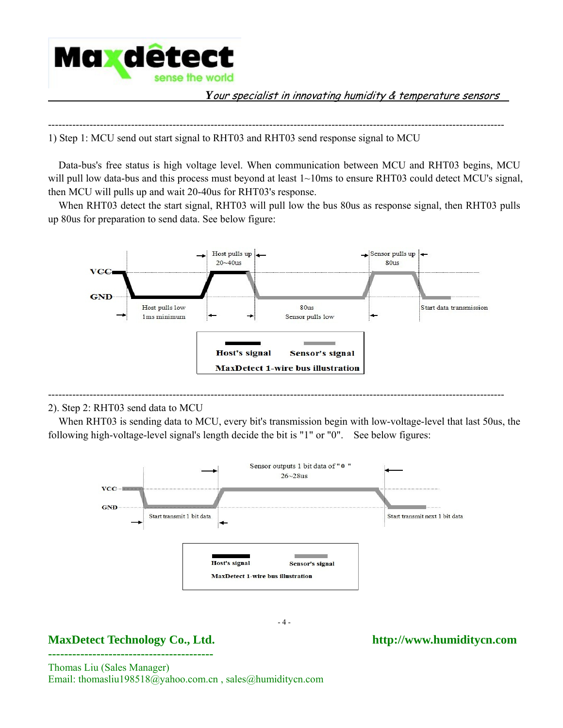

------------------------------------------------------------------------------------------------------------------------------------ 1) Step 1: MCU send out start signal to RHT03 and RHT03 send response signal to MCU

 Data-bus's free status is high voltage level. When communication between MCU and RHT03 begins, MCU will pull low data-bus and this process must beyond at least  $1 \sim 10$ ms to ensure RHT03 could detect MCU's signal, then MCU will pulls up and wait 20-40us for RHT03's response.

When RHT03 detect the start signal, RHT03 will pull low the bus 80us as response signal, then RHT03 pulls up 80us for preparation to send data. See below figure:



#### 2). Step 2: RHT03 send data to MCU

 When RHT03 is sending data to MCU, every bit's transmission begin with low-voltage-level that last 50us, the following high-voltage-level signal's length decide the bit is "1" or "0". See below figures:

------------------------------------------------------------------------------------------------------------------------------------



- 4 -

## MaxDetect Technology Co., Ltd. http://www.humiditycn.com **-----------------------------------------**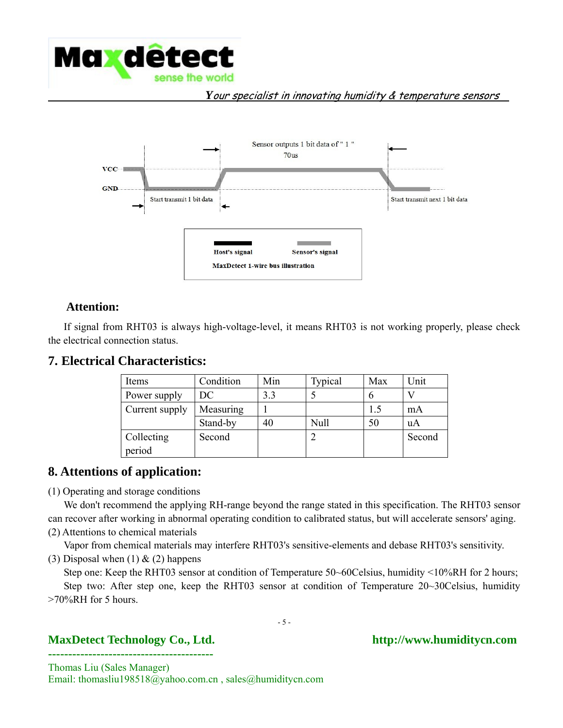



## **Attention:**

 If signal from RHT03 is always high-voltage-level, it means RHT03 is not working properly, please check the electrical connection status.

### **7. Electrical Characteristics:**

| Items                       | Condition | Min | Typical | Max | Unit   |
|-----------------------------|-----------|-----|---------|-----|--------|
| Power supply                | DC        | 3.3 |         |     |        |
| Measuring<br>Current supply |           |     |         | 1.5 | mA     |
|                             | Stand-by  | 40  | Null    | 50  | uA     |
| Collecting                  | Second    |     |         |     | Second |
| period                      |           |     |         |     |        |

## **8. Attentions of application:**

(1) Operating and storage conditions

 We don't recommend the applying RH-range beyond the range stated in this specification. The RHT03 sensor can recover after working in abnormal operating condition to calibrated status, but will accelerate sensors' aging.

(2) Attentions to chemical materials

Vapor from chemical materials may interfere RHT03's sensitive-elements and debase RHT03's sensitivity.

(3) Disposal when  $(1)$  &  $(2)$  happens

Step one: Keep the RHT03 sensor at condition of Temperature 50~60Celsius, humidity <10%RH for 2 hours; Step two: After step one, keep the RHT03 sensor at condition of Temperature 20~30Celsius, humidity >70%RH for 5 hours.

- 5 -

## MaxDetect Technology Co., Ltd. http://www.humiditycn.com **-----------------------------------------**